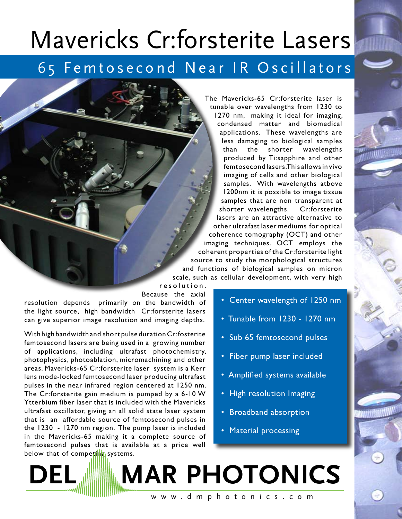## Mavericks Cr:forsterite Lasers

## 65 Femtosecond Near IR Oscillators

The Mavericks-65 Cr:forsterite laser is tunable over wavelengths from 1230 to

1270 nm, making it ideal for imaging, condensed matter and biomedical applications. These wavelengths are less damaging to biological samples than the shorter wavelengths produced by Ti:sapphire and other femtosecond lasers. This allows in vivo imaging of cells and other biological samples. With wavelengths atbove 1200nm it is possible to image tissue samples that are non transparent at shorter wavelengths. Cr:forsterite lasers are an attractive alternative to other ultrafast laser mediums for optical coherence tomography (OCT) and other imaging techniques. OCT employs the coherent properties of the Cr:forsterite light source to study the morphological structures and functions of biological samples on micron scale, such as cellular development, with very high

r e s o l u t i o n . Because the axial resolution depends primarily on the bandwidth of the light source, high bandwidth Cr:forsterite lasers can give superior image resolution and imaging depths.

With high bandwidth and short pulse duration Cr:fosterite femtosecond lasers are being used in a growing number of applications, including ultrafast photochemistry, photophysics, photoablation, micromachining and other areas. Mavericks-65 Cr:forsterite laser system is a Kerr lens mode-locked femtosecond laser producing ultrafast pulses in the near infrared region centered at 1250 nm. The Cr:forsterite gain medium is pumped by a 6-10 W Ytterbium fiber laser that is included with the Mavericks ultrafast oscillator, giving an all solid state laser system that is an affordable source of femtosecond pulses in the 1230 - 1270 nm region. The pump laser is included in the Mavericks-65 making it a complete source of femtosecond pulses that is available at a price well below that of competing systems.

- Center wavelength of 1250 nm
- Tunable from 1230 1270 nm
- Sub 65 femtosecond pulses
- Fiber pump laser included
- Amplified systems available
- High resolution Imaging
- Broadband absorption
- Material processing

**DEL MAR PHOTONICS** w w w . d m p h o t o n i c s . c o m